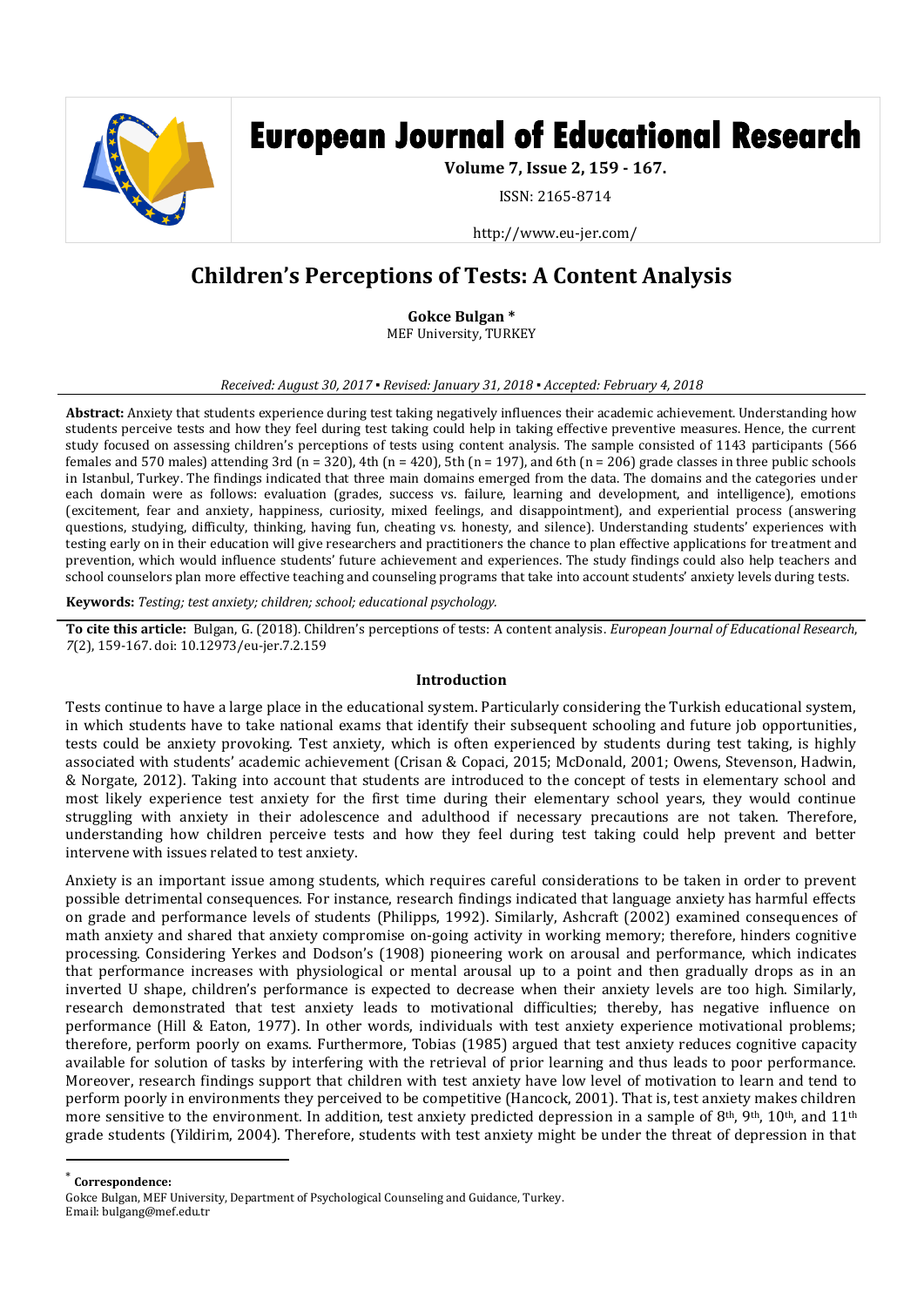

# **European Journal of Educational Research**

**Volume 7, Issue 2, 159 - 167.**

ISSN: 2165-8714

http://www.eu-jer.com/

# **Children's Perceptions of Tests: A Content Analysis**

**Gokce Bulgan \*** MEF University, TURKEY

#### *Received: August 30, 2017 ▪ Revised: January 31, 2018 ▪ Accepted: February 4, 2018*

**Abstract:** Anxiety that students experience during test taking negatively influences their academic achievement. Understanding how students perceive tests and how they feel during test taking could help in taking effective preventive measures. Hence, the current study focused on assessing children's perceptions of tests using content analysis. The sample consisted of 1143 participants (566 females and 570 males) attending 3rd ( $n = 320$ ), 4th ( $n = 420$ ), 5th ( $n = 197$ ), and 6th ( $n = 206$ ) grade classes in three public schools in Istanbul, Turkey. The findings indicated that three main domains emerged from the data. The domains and the categories under each domain were as follows: evaluation (grades, success vs. failure, learning and development, and intelligence), emotions (excitement, fear and anxiety, happiness, curiosity, mixed feelings, and disappointment), and experiential process (answering questions, studying, difficulty, thinking, having fun, cheating vs. honesty, and silence). Understanding students' experiences with testing early on in their education will give researchers and practitioners the chance to plan effective applications for treatment and prevention, which would influence students' future achievement and experiences. The study findings could also help teachers and school counselors plan more effective teaching and counseling programs that take into account students' anxiety levels during tests.

**Keywords:** *Testing; test anxiety; children; school; educational psychology.*

**To cite this article:** Bulgan, G. (2018). Children's perceptions of tests: A content analysis. *European Journal of Educational Research*, *7*(2), 159-167. doi: 10.12973/eu-jer.7.2.159

## **Introduction**

Tests continue to have a large place in the educational system. Particularly considering the Turkish educational system, in which students have to take national exams that identify their subsequent schooling and future job opportunities, tests could be anxiety provoking. Test anxiety, which is often experienced by students during test taking, is highly associated with students' academic achievement (Crisan & Copaci, 2015; McDonald, 2001; Owens, Stevenson, Hadwin, & Norgate, 2012). Taking into account that students are introduced to the concept of tests in elementary school and most likely experience test anxiety for the first time during their elementary school years, they would continue struggling with anxiety in their adolescence and adulthood if necessary precautions are not taken. Therefore, understanding how children perceive tests and how they feel during test taking could help prevent and better intervene with issues related to test anxiety.

Anxiety is an important issue among students, which requires careful considerations to be taken in order to prevent possible detrimental consequences. For instance, research findings indicated that language anxiety has harmful effects on grade and performance levels of students (Philipps, 1992). Similarly, Ashcraft (2002) examined consequences of math anxiety and shared that anxiety compromise on-going activity in working memory; therefore, hinders cognitive processing. Considering Yerkes and Dodson's (1908) pioneering work on arousal and performance, which indicates that performance increases with physiological or mental arousal up to a point and then gradually drops as in an inverted U shape, children's performance is expected to decrease when their anxiety levels are too high. Similarly, research demonstrated that test anxiety leads to motivational difficulties; thereby, has negative influence on performance (Hill & Eaton, 1977). In other words, individuals with test anxiety experience motivational problems; therefore, perform poorly on exams. Furthermore, Tobias (1985) argued that test anxiety reduces cognitive capacity available for solution of tasks by interfering with the retrieval of prior learning and thus leads to poor performance. Moreover, research findings support that children with test anxiety have low level of motivation to learn and tend to perform poorly in environments they perceived to be competitive (Hancock, 2001). That is, test anxiety makes children more sensitive to the environment. In addition, test anxiety predicted depression in a sample of 8<sup>th</sup>, 9<sup>th</sup>, 10<sup>th</sup>, and 11<sup>th</sup> grade students (Yildirim, 2004). Therefore, students with test anxiety might be under the threat of depression in that

\* **Correspondence:**

 $\overline{a}$ 

Gokce Bulgan, MEF University, Department of Psychological Counseling and Guidance, Turkey. Email: bulgang@mef.edu.tr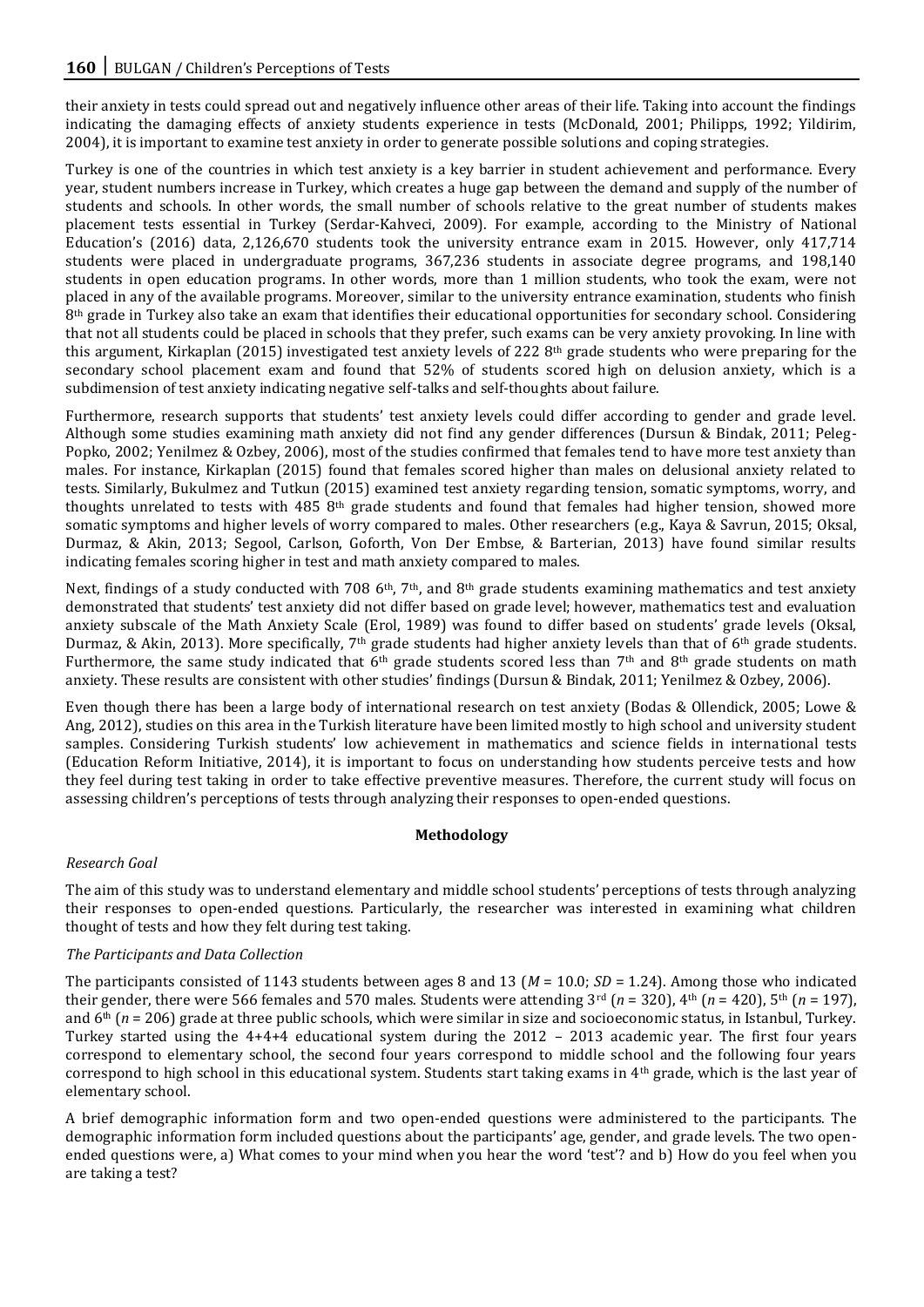their anxiety in tests could spread out and negatively influence other areas of their life. Taking into account the findings indicating the damaging effects of anxiety students experience in tests (McDonald, 2001; Philipps, 1992; Yildirim, 2004), it is important to examine test anxiety in order to generate possible solutions and coping strategies.

Turkey is one of the countries in which test anxiety is a key barrier in student achievement and performance. Every year, student numbers increase in Turkey, which creates a huge gap between the demand and supply of the number of students and schools. In other words, the small number of schools relative to the great number of students makes placement tests essential in Turkey (Serdar-Kahveci, 2009). For example, according to the Ministry of National Education's (2016) data, 2,126,670 students took the university entrance exam in 2015. However, only 417,714 students were placed in undergraduate programs, 367,236 students in associate degree programs, and 198,140 students in open education programs. In other words, more than 1 million students, who took the exam, were not placed in any of the available programs. Moreover, similar to the university entrance examination, students who finish 8<sup>th</sup> grade in Turkey also take an exam that identifies their educational opportunities for secondary school. Considering that not all students could be placed in schools that they prefer, such exams can be very anxiety provoking. In line with this argument, Kirkaplan (2015) investigated test anxiety levels of 222  $8<sup>th</sup>$  grade students who were preparing for the secondary school placement exam and found that 52% of students scored high on delusion anxiety, which is a subdimension of test anxiety indicating negative self-talks and self-thoughts about failure.

Furthermore, research supports that students' test anxiety levels could differ according to gender and grade level. Although some studies examining math anxiety did not find any gender differences (Dursun & Bindak, 2011; Peleg-Popko, 2002; Yenilmez & Ozbey, 2006), most of the studies confirmed that females tend to have more test anxiety than males. For instance, Kirkaplan (2015) found that females scored higher than males on delusional anxiety related to tests. Similarly, Bukulmez and Tutkun (2015) examined test anxiety regarding tension, somatic symptoms, worry, and thoughts unrelated to tests with 485 8th grade students and found that females had higher tension, showed more somatic symptoms and higher levels of worry compared to males. Other researchers (e.g., Kaya & Savrun, 2015; Oksal, Durmaz, & Akin, 2013; Segool, Carlson, Goforth, Von Der Embse, & Barterian, 2013) have found similar results indicating females scoring higher in test and math anxiety compared to males.

Next, findings of a study conducted with 708  $6<sup>th</sup>$ , 7<sup>th</sup>, and 8<sup>th</sup> grade students examining mathematics and test anxiety demonstrated that students' test anxiety did not differ based on grade level; however, mathematics test and evaluation anxiety subscale of the Math Anxiety Scale (Erol, 1989) was found to differ based on students' grade levels (Oksal, Durmaz, & Akin, 2013). More specifically, 7<sup>th</sup> grade students had higher anxiety levels than that of 6<sup>th</sup> grade students. Furthermore, the same study indicated that  $6<sup>th</sup>$  grade students scored less than  $7<sup>th</sup>$  and  $8<sup>th</sup>$  grade students on math anxiety. These results are consistent with other studies' findings (Dursun & Bindak, 2011; Yenilmez & Ozbey, 2006).

Even though there has been a large body of international research on test anxiety (Bodas & Ollendick, 2005; Lowe & Ang, 2012), studies on this area in the Turkish literature have been limited mostly to high school and university student samples. Considering Turkish students' low achievement in mathematics and science fields in international tests (Education Reform Initiative, 2014), it is important to focus on understanding how students perceive tests and how they feel during test taking in order to take effective preventive measures. Therefore, the current study will focus on assessing children's perceptions of tests through analyzing their responses to open-ended questions.

## **Methodology**

# *Research Goal*

The aim of this study was to understand elementary and middle school students' perceptions of tests through analyzing their responses to open-ended questions. Particularly, the researcher was interested in examining what children thought of tests and how they felt during test taking.

# *The Participants and Data Collection*

The participants consisted of 1143 students between ages 8 and 13 ( $M = 10.0$ ;  $SD = 1.24$ ). Among those who indicated their gender, there were 566 females and 570 males. Students were attending  $3^{rd}$  ( $n = 320$ ),  $4^{th}$  ( $n = 420$ ),  $5^{th}$  ( $n = 197$ ), and 6th (*n* = 206) grade at three public schools, which were similar in size and socioeconomic status, in Istanbul, Turkey. Turkey started using the 4+4+4 educational system during the 2012 – 2013 academic year. The first four years correspond to elementary school, the second four years correspond to middle school and the following four years correspond to high school in this educational system. Students start taking exams in 4th grade, which is the last year of elementary school.

A brief demographic information form and two open-ended questions were administered to the participants. The demographic information form included questions about the participants' age, gender, and grade levels. The two openended questions were, a) What comes to your mind when you hear the word 'test'? and b) How do you feel when you are taking a test?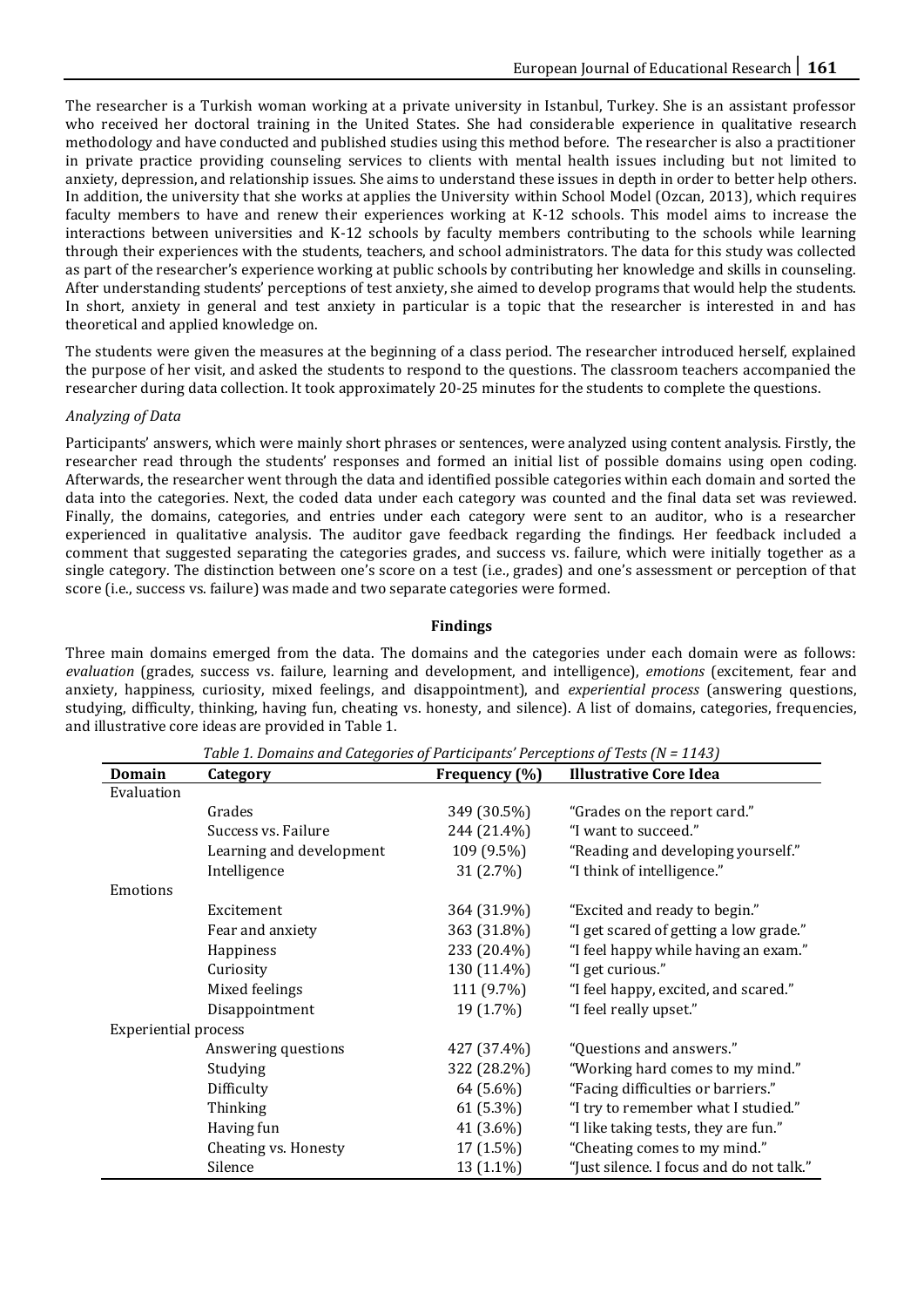The researcher is a Turkish woman working at a private university in Istanbul, Turkey. She is an assistant professor who received her doctoral training in the United States. She had considerable experience in qualitative research methodology and have conducted and published studies using this method before. The researcher is also a practitioner in private practice providing counseling services to clients with mental health issues including but not limited to anxiety, depression, and relationship issues. She aims to understand these issues in depth in order to better help others. In addition, the university that she works at applies the University within School Model (Ozcan, 2013), which requires faculty members to have and renew their experiences working at K-12 schools. This model aims to increase the interactions between universities and K-12 schools by faculty members contributing to the schools while learning through their experiences with the students, teachers, and school administrators. The data for this study was collected as part of the researcher's experience working at public schools by contributing her knowledge and skills in counseling. After understanding students' perceptions of test anxiety, she aimed to develop programs that would help the students. In short, anxiety in general and test anxiety in particular is a topic that the researcher is interested in and has theoretical and applied knowledge on.

The students were given the measures at the beginning of a class period. The researcher introduced herself, explained the purpose of her visit, and asked the students to respond to the questions. The classroom teachers accompanied the researcher during data collection. It took approximately 20-25 minutes for the students to complete the questions.

# *Analyzing of Data*

Participants' answers, which were mainly short phrases or sentences, were analyzed using content analysis. Firstly, the researcher read through the students' responses and formed an initial list of possible domains using open coding. Afterwards, the researcher went through the data and identified possible categories within each domain and sorted the data into the categories. Next, the coded data under each category was counted and the final data set was reviewed. Finally, the domains, categories, and entries under each category were sent to an auditor, who is a researcher experienced in qualitative analysis. The auditor gave feedback regarding the findings. Her feedback included a comment that suggested separating the categories grades, and success vs. failure, which were initially together as a single category. The distinction between one's score on a test (i.e., grades) and one's assessment or perception of that score (i.e., success vs. failure) was made and two separate categories were formed.

# **Findings**

Three main domains emerged from the data. The domains and the categories under each domain were as follows: *evaluation* (grades, success vs. failure, learning and development, and intelligence), *emotions* (excitement, fear and anxiety, happiness, curiosity, mixed feelings, and disappointment), and *experiential process* (answering questions, studying, difficulty, thinking, having fun, cheating vs. honesty, and silence). A list of domains, categories, frequencies, and illustrative core ideas are provided in Table 1.

| Domain                      | Category                 | Frequency (%) | <b>Illustrative Core Idea</b>            |
|-----------------------------|--------------------------|---------------|------------------------------------------|
| Evaluation                  |                          |               |                                          |
|                             | Grades                   | 349 (30.5%)   | "Grades on the report card."             |
|                             | Success vs. Failure      | 244 (21.4%)   | "I want to succeed."                     |
|                             | Learning and development | 109 (9.5%)    | "Reading and developing yourself."       |
|                             | Intelligence             | 31 (2.7%)     | "I think of intelligence."               |
| Emotions                    |                          |               |                                          |
|                             | Excitement               | 364 (31.9%)   | "Excited and ready to begin."            |
|                             | Fear and anxiety         | 363 (31.8%)   | "I get scared of getting a low grade."   |
|                             | Happiness                | 233 (20.4%)   | "I feel happy while having an exam."     |
|                             | Curiosity                | 130 (11.4%)   | "I get curious."                         |
|                             | Mixed feelings           | 111 (9.7%)    | "I feel happy, excited, and scared."     |
|                             | Disappointment           | 19 (1.7%)     | "I feel really upset."                   |
| <b>Experiential process</b> |                          |               |                                          |
|                             | Answering questions      | 427 (37.4%)   | "Questions and answers."                 |
|                             | Studying                 | 322 (28.2%)   | "Working hard comes to my mind."         |
|                             | Difficulty               | 64 (5.6%)     | "Facing difficulties or barriers."       |
|                             | Thinking                 | 61 (5.3%)     | "I try to remember what I studied."      |
|                             | Having fun               | 41 (3.6%)     | "I like taking tests, they are fun."     |
|                             | Cheating vs. Honesty     | 17 (1.5%)     | "Cheating comes to my mind."             |
|                             | Silence                  | 13 (1.1%)     | "Just silence. I focus and do not talk." |

*Table 1. Domains and Categories of Participants' Perceptions of Tests (N = 1143)*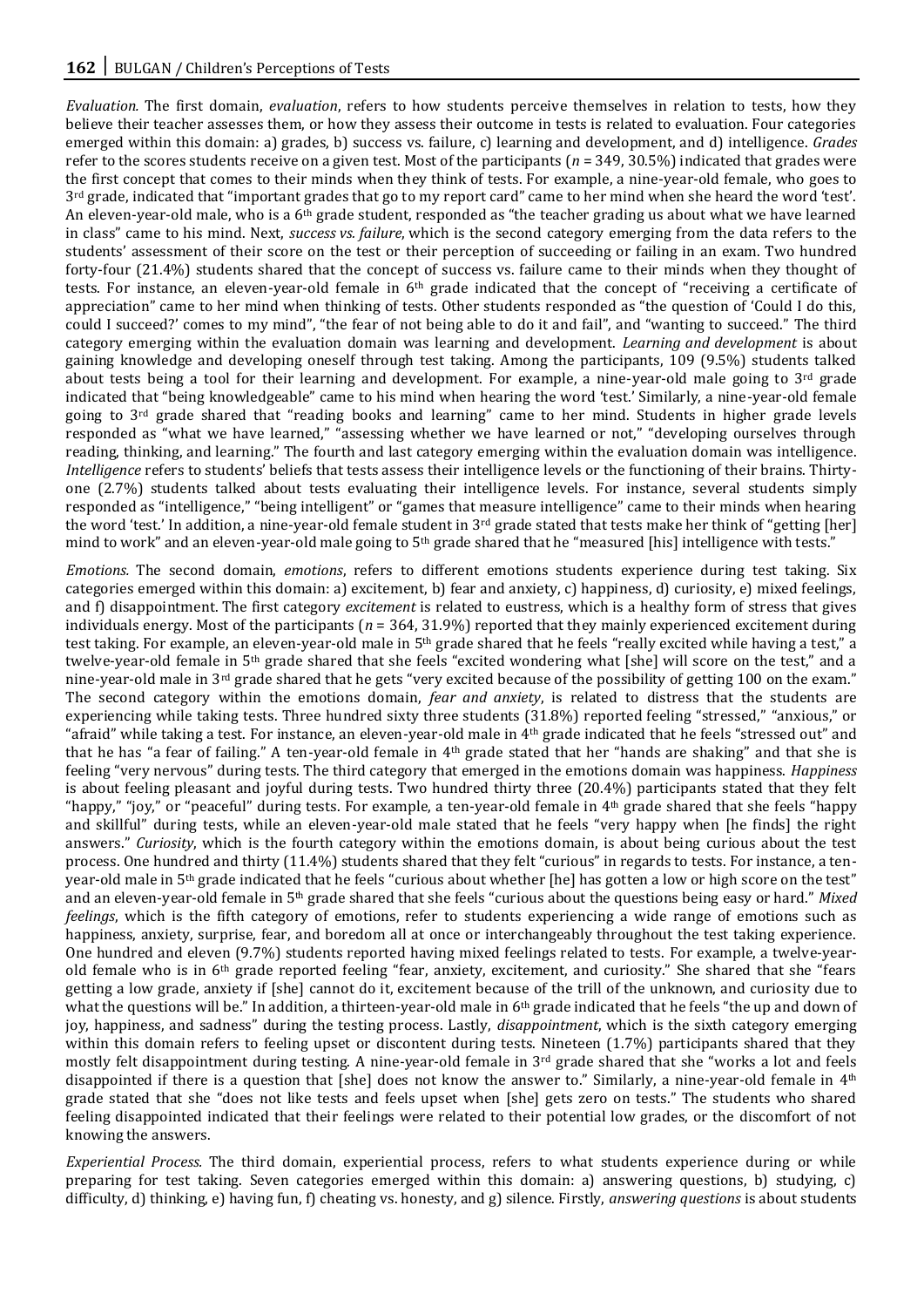*Evaluation.* The first domain, *evaluation*, refers to how students perceive themselves in relation to tests, how they believe their teacher assesses them, or how they assess their outcome in tests is related to evaluation. Four categories emerged within this domain: a) grades, b) success vs. failure, c) learning and development, and d) intelligence. *Grades* refer to the scores students receive on a given test. Most of the participants (*n* = 349, 30.5%) indicated that grades were the first concept that comes to their minds when they think of tests. For example, a nine-year-old female, who goes to 3rd grade, indicated that "important grades that go to my report card" came to her mind when she heard the word 'test'. An eleven-year-old male, who is a  $6<sup>th</sup>$  grade student, responded as "the teacher grading us about what we have learned in class" came to his mind. Next, *success vs. failure*, which is the second category emerging from the data refers to the students' assessment of their score on the test or their perception of succeeding or failing in an exam. Two hundred forty-four (21.4%) students shared that the concept of success vs. failure came to their minds when they thought of tests. For instance, an eleven-year-old female in 6th grade indicated that the concept of "receiving a certificate of appreciation" came to her mind when thinking of tests. Other students responded as "the question of 'Could I do this, could I succeed?' comes to my mind", "the fear of not being able to do it and fail", and "wanting to succeed." The third category emerging within the evaluation domain was learning and development. *Learning and development* is about gaining knowledge and developing oneself through test taking. Among the participants, 109 (9.5%) students talked about tests being a tool for their learning and development. For example, a nine-year-old male going to  $3<sup>rd</sup>$  grade indicated that "being knowledgeable" came to his mind when hearing the word 'test.' Similarly, a nine-year-old female going to 3rd grade shared that "reading books and learning" came to her mind. Students in higher grade levels responded as "what we have learned," "assessing whether we have learned or not," "developing ourselves through reading, thinking, and learning." The fourth and last category emerging within the evaluation domain was intelligence. *Intelligence* refers to students' beliefs that tests assess their intelligence levels or the functioning of their brains. Thirtyone (2.7%) students talked about tests evaluating their intelligence levels. For instance, several students simply responded as "intelligence," "being intelligent" or "games that measure intelligence" came to their minds when hearing the word 'test.' In addition, a nine-year-old female student in  $3^{rd}$  grade stated that tests make her think of "getting [her] mind to work" and an eleven-year-old male going to 5<sup>th</sup> grade shared that he "measured [his] intelligence with tests."

*Emotions.* The second domain, *emotions*, refers to different emotions students experience during test taking. Six categories emerged within this domain: a) excitement, b) fear and anxiety, c) happiness, d) curiosity, e) mixed feelings, and f) disappointment. The first category *excitement* is related to eustress, which is a healthy form of stress that gives individuals energy. Most of the participants (*n* = 364, 31.9%) reported that they mainly experienced excitement during test taking. For example, an eleven-year-old male in 5th grade shared that he feels "really excited while having a test," a twelve-year-old female in 5th grade shared that she feels "excited wondering what [she] will score on the test," and a nine-year-old male in 3<sup>rd</sup> grade shared that he gets "very excited because of the possibility of getting 100 on the exam." The second category within the emotions domain, *fear and anxiety*, is related to distress that the students are experiencing while taking tests. Three hundred sixty three students (31.8%) reported feeling "stressed," "anxious," or "afraid" while taking a test. For instance, an eleven-year-old male in 4th grade indicated that he feels "stressed out" and that he has "a fear of failing." A ten-year-old female in 4th grade stated that her "hands are shaking" and that she is feeling "very nervous" during tests. The third category that emerged in the emotions domain was happiness. *Happiness*  is about feeling pleasant and joyful during tests. Two hundred thirty three (20.4%) participants stated that they felt "happy," "joy," or "peaceful" during tests. For example, a ten-year-old female in 4th grade shared that she feels "happy and skillful" during tests, while an eleven-year-old male stated that he feels "very happy when [he finds] the right answers." *Curiosity*, which is the fourth category within the emotions domain, is about being curious about the test process. One hundred and thirty (11.4%) students shared that they felt "curious" in regards to tests. For instance, a tenyear-old male in 5th grade indicated that he feels "curious about whether [he] has gotten a low or high score on the test" and an eleven-year-old female in 5th grade shared that she feels "curious about the questions being easy or hard." *Mixed feelings*, which is the fifth category of emotions, refer to students experiencing a wide range of emotions such as happiness, anxiety, surprise, fear, and boredom all at once or interchangeably throughout the test taking experience. One hundred and eleven (9.7%) students reported having mixed feelings related to tests. For example, a twelve-yearold female who is in  $6<sup>th</sup>$  grade reported feeling "fear, anxiety, excitement, and curiosity." She shared that she "fears getting a low grade, anxiety if [she] cannot do it, excitement because of the trill of the unknown, and curiosity due to what the questions will be." In addition, a thirteen-year-old male in 6th grade indicated that he feels "the up and down of joy, happiness, and sadness" during the testing process. Lastly, *disappointment*, which is the sixth category emerging within this domain refers to feeling upset or discontent during tests. Nineteen (1.7%) participants shared that they mostly felt disappointment during testing. A nine-year-old female in  $3<sup>rd</sup>$  grade shared that she "works a lot and feels disappointed if there is a question that [she] does not know the answer to." Similarly, a nine-year-old female in  $4<sup>th</sup>$ grade stated that she "does not like tests and feels upset when [she] gets zero on tests." The students who shared feeling disappointed indicated that their feelings were related to their potential low grades, or the discomfort of not knowing the answers.

*Experiential Process.* The third domain, experiential process, refers to what students experience during or while preparing for test taking. Seven categories emerged within this domain: a) answering questions, b) studying, c) difficulty, d) thinking, e) having fun, f) cheating vs. honesty, and g) silence. Firstly, *answering questions* is about students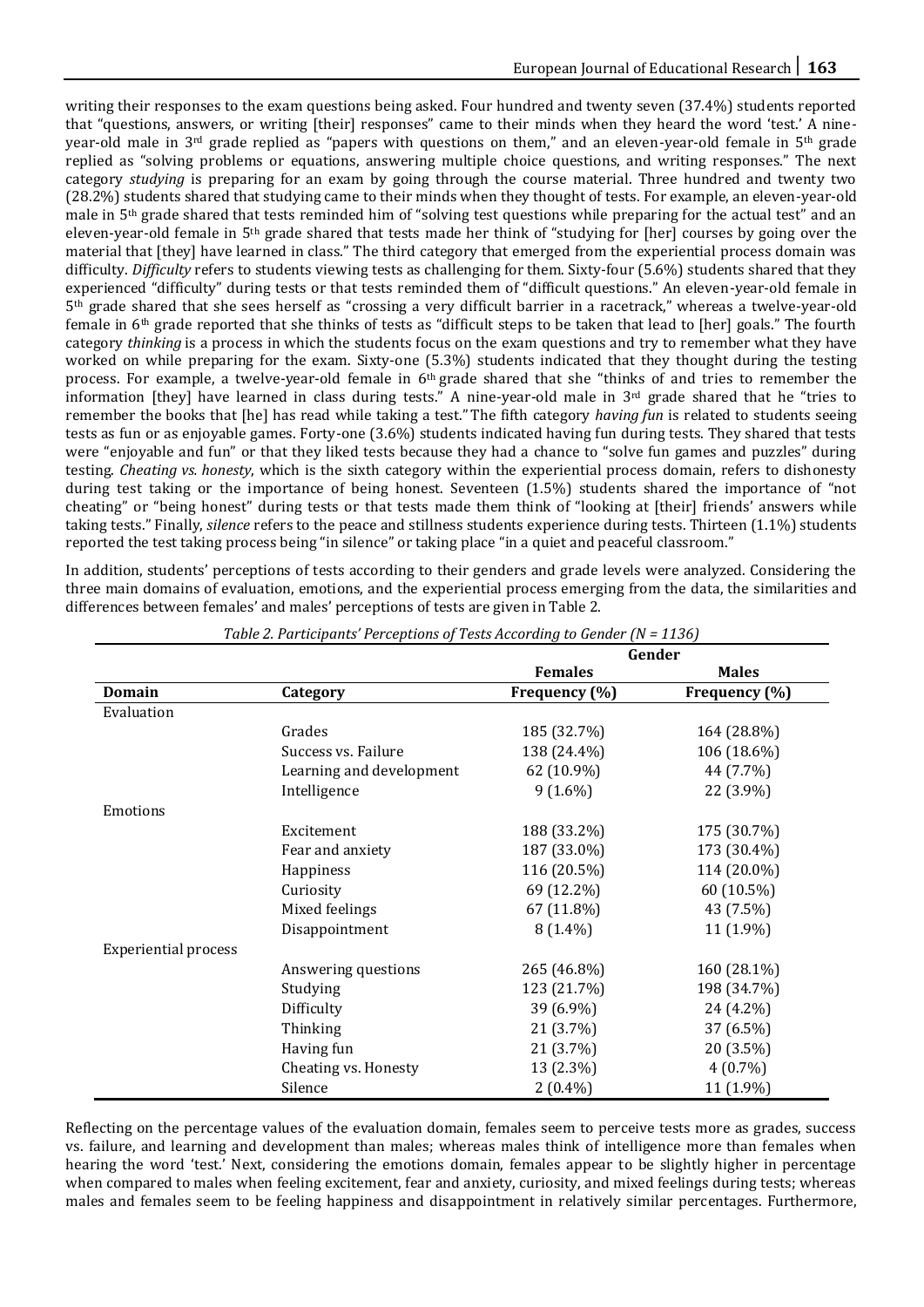writing their responses to the exam questions being asked. Four hundred and twenty seven (37.4%) students reported that "questions, answers, or writing [their] responses" came to their minds when they heard the word 'test.' A nineyear-old male in 3rd grade replied as "papers with questions on them," and an eleven-year-old female in 5th grade replied as "solving problems or equations, answering multiple choice questions, and writing responses." The next category *studying* is preparing for an exam by going through the course material. Three hundred and twenty two (28.2%) students shared that studying came to their minds when they thought of tests. For example, an eleven-year-old male in 5th grade shared that tests reminded him of "solving test questions while preparing for the actual test" and an eleven-year-old female in 5th grade shared that tests made her think of "studying for [her] courses by going over the material that [they] have learned in class." The third category that emerged from the experiential process domain was difficulty. *Difficulty* refers to students viewing tests as challenging for them. Sixty-four (5.6%) students shared that they experienced "difficulty" during tests or that tests reminded them of "difficult questions." An eleven-year-old female in 5th grade shared that she sees herself as "crossing a very difficult barrier in a racetrack," whereas a twelve-year-old female in 6th grade reported that she thinks of tests as "difficult steps to be taken that lead to [her] goals." The fourth category *thinking* is a process in which the students focus on the exam questions and try to remember what they have worked on while preparing for the exam. Sixty-one (5.3%) students indicated that they thought during the testing process. For example, a twelve-year-old female in 6th grade shared that she "thinks of and tries to remember the information [they] have learned in class during tests." A nine-year-old male in  $3<sup>rd</sup>$  grade shared that he "tries to remember the books that [he] has read while taking a test." The fifth category *having fun* is related to students seeing tests as fun or as enjoyable games. Forty-one (3.6%) students indicated having fun during tests. They shared that tests were "enjoyable and fun" or that they liked tests because they had a chance to "solve fun games and puzzles" during testing. *Cheating vs. honesty*, which is the sixth category within the experiential process domain, refers to dishonesty during test taking or the importance of being honest. Seventeen (1.5%) students shared the importance of "not cheating" or "being honest" during tests or that tests made them think of "looking at [their] friends' answers while taking tests." Finally, *silence* refers to the peace and stillness students experience during tests. Thirteen (1.1%) students reported the test taking process being "in silence" or taking place "in a quiet and peaceful classroom."

In addition, students' perceptions of tests according to their genders and grade levels were analyzed. Considering the three main domains of evaluation, emotions, and the experiential process emerging from the data, the similarities and differences between females' and males' perceptions of tests are given in Table 2.

|                             |                          | Gender         |               |  |
|-----------------------------|--------------------------|----------------|---------------|--|
|                             |                          | <b>Females</b> | <b>Males</b>  |  |
| <b>Domain</b>               | Category                 | Frequency (%)  | Frequency (%) |  |
| Evaluation                  |                          |                |               |  |
|                             | Grades                   | 185 (32.7%)    | 164 (28.8%)   |  |
|                             | Success vs. Failure      | 138 (24.4%)    | 106 (18.6%)   |  |
|                             | Learning and development | 62 (10.9%)     | 44 (7.7%)     |  |
|                             | Intelligence             | $9(1.6\%)$     | 22 (3.9%)     |  |
| Emotions                    |                          |                |               |  |
|                             | Excitement               | 188 (33.2%)    | 175 (30.7%)   |  |
|                             | Fear and anxiety         | 187 (33.0%)    | 173 (30.4%)   |  |
|                             | Happiness                | 116 (20.5%)    | 114 (20.0%)   |  |
|                             | Curiosity                | 69 (12.2%)     | 60 (10.5%)    |  |
|                             | Mixed feelings           | 67 (11.8%)     | 43 (7.5%)     |  |
|                             | Disappointment           | $8(1.4\%)$     | 11 (1.9%)     |  |
| <b>Experiential process</b> |                          |                |               |  |
|                             | Answering questions      | 265 (46.8%)    | 160 (28.1%)   |  |
|                             | Studying                 | 123 (21.7%)    | 198 (34.7%)   |  |
|                             | Difficulty               | 39 (6.9%)      | 24 (4.2%)     |  |
|                             | Thinking                 | 21 (3.7%)      | 37 (6.5%)     |  |
|                             | Having fun               | 21 (3.7%)      | 20 (3.5%)     |  |
|                             | Cheating vs. Honesty     | 13 (2.3%)      | $4(0.7\%)$    |  |
|                             | Silence                  | $2(0.4\%)$     | 11 (1.9%)     |  |

*Table 2. Participants' Perceptions of Tests According to Gender (N = 1136)*

Reflecting on the percentage values of the evaluation domain, females seem to perceive tests more as grades, success vs. failure, and learning and development than males; whereas males think of intelligence more than females when hearing the word 'test.' Next, considering the emotions domain, females appear to be slightly higher in percentage when compared to males when feeling excitement, fear and anxiety, curiosity, and mixed feelings during tests; whereas males and females seem to be feeling happiness and disappointment in relatively similar percentages. Furthermore,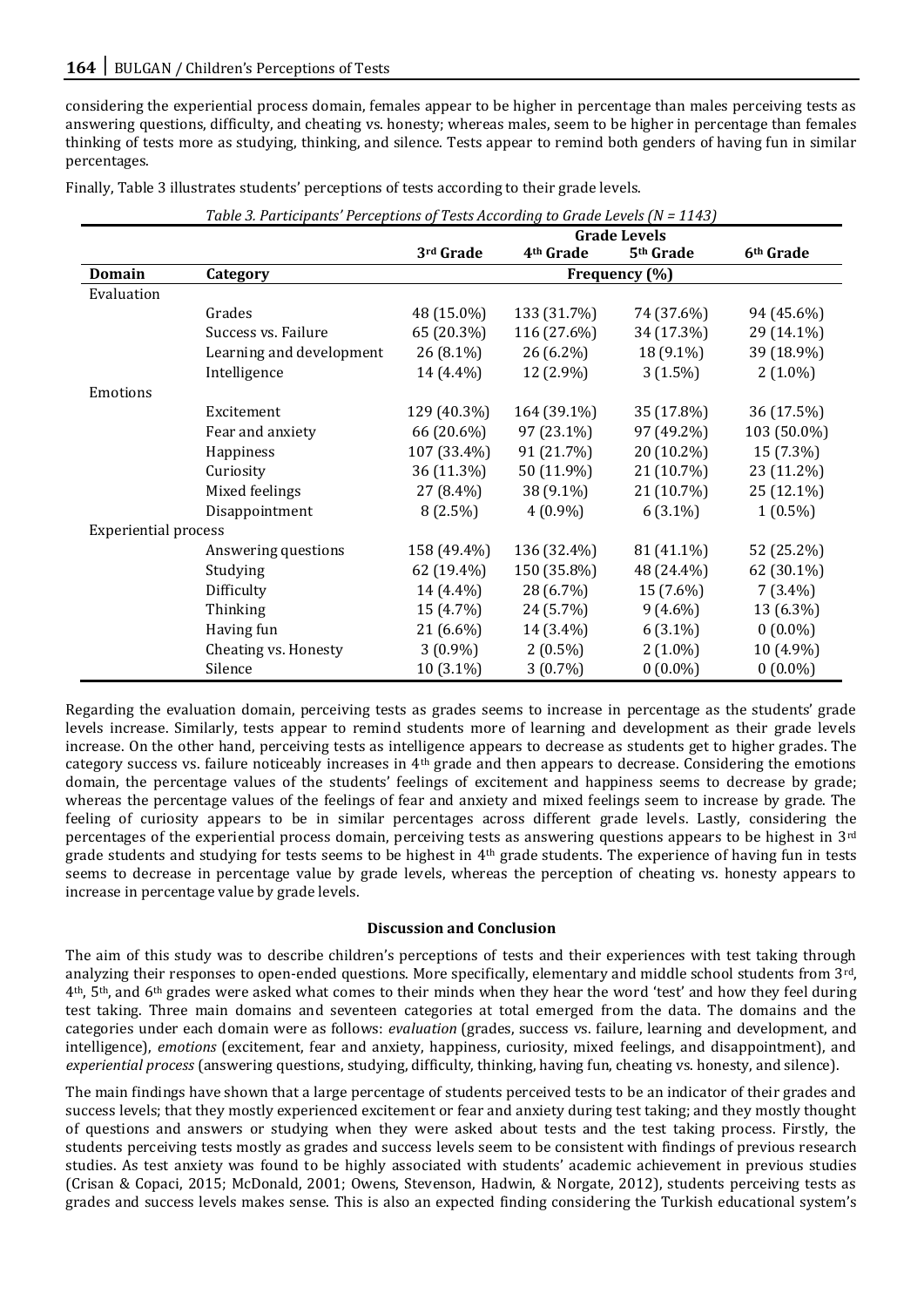considering the experiential process domain, females appear to be higher in percentage than males perceiving tests as answering questions, difficulty, and cheating vs. honesty; whereas males, seem to be higher in percentage than females thinking of tests more as studying, thinking, and silence. Tests appear to remind both genders of having fun in similar percentages.

Finally, Table 3 illustrates students' perceptions of tests according to their grade levels.

|                             |                          | Table 3. Participants "Perceptions of Tests According to Grade Levels (N = 1143) |                       |                       |                       |  |  |
|-----------------------------|--------------------------|----------------------------------------------------------------------------------|-----------------------|-----------------------|-----------------------|--|--|
|                             |                          | <b>Grade Levels</b>                                                              |                       |                       |                       |  |  |
|                             |                          | 3rd Grade                                                                        | 4 <sup>th</sup> Grade | 5 <sup>th</sup> Grade | 6 <sup>th</sup> Grade |  |  |
| <b>Domain</b>               | Category                 | Frequency (%)                                                                    |                       |                       |                       |  |  |
| Evaluation                  |                          |                                                                                  |                       |                       |                       |  |  |
|                             | Grades                   | 48 (15.0%)                                                                       | 133 (31.7%)           | 74 (37.6%)            | 94 (45.6%)            |  |  |
|                             | Success vs. Failure      | 65 (20.3%)                                                                       | 116 (27.6%)           | 34 (17.3%)            | 29 (14.1%)            |  |  |
|                             | Learning and development | $26(8.1\%)$                                                                      | 26 (6.2%)             | 18 (9.1%)             | 39 (18.9%)            |  |  |
|                             | Intelligence             | 14 (4.4%)                                                                        | 12 (2.9%)             | $3(1.5\%)$            | $2(1.0\%)$            |  |  |
| Emotions                    |                          |                                                                                  |                       |                       |                       |  |  |
|                             | Excitement               | 129 (40.3%)                                                                      | 164 (39.1%)           | 35 (17.8%)            | 36 (17.5%)            |  |  |
|                             | Fear and anxiety         | 66 (20.6%)                                                                       | 97 (23.1%)            | 97 (49.2%)            | 103 (50.0%)           |  |  |
|                             | Happiness                | 107 (33.4%)                                                                      | 91 (21.7%)            | 20 (10.2%)            | 15 (7.3%)             |  |  |
|                             | Curiosity                | 36 (11.3%)                                                                       | 50 (11.9%)            | 21 (10.7%)            | 23 (11.2%)            |  |  |
|                             | Mixed feelings           | 27 (8.4%)                                                                        | 38 (9.1%)             | 21 (10.7%)            | 25 (12.1%)            |  |  |
|                             | Disappointment           | $8(2.5\%)$                                                                       | $4(0.9\%)$            | $6(3.1\%)$            | $1(0.5\%)$            |  |  |
| <b>Experiential process</b> |                          |                                                                                  |                       |                       |                       |  |  |
|                             | Answering questions      | 158 (49.4%)                                                                      | 136 (32.4%)           | 81 (41.1%)            | 52 (25.2%)            |  |  |
|                             | Studying                 | 62 (19.4%)                                                                       | 150 (35.8%)           | 48 (24.4%)            | 62 (30.1%)            |  |  |
|                             | Difficulty               | 14 (4.4%)                                                                        | 28 (6.7%)             | 15 (7.6%)             | $7(3.4\%)$            |  |  |
|                             | Thinking                 | 15 (4.7%)                                                                        | 24 (5.7%)             | $9(4.6\%)$            | 13 (6.3%)             |  |  |
|                             | Having fun               | 21 (6.6%)                                                                        | 14 (3.4%)             | $6(3.1\%)$            | $0(0.0\%)$            |  |  |
|                             | Cheating vs. Honesty     | $3(0.9\%)$                                                                       | $2(0.5\%)$            | $2(1.0\%)$            | 10 (4.9%)             |  |  |
|                             | Silence                  | 10 (3.1%)                                                                        | $3(0.7\%)$            | $0(0.0\%)$            | $0(0.0\%)$            |  |  |

*Table 3. Participants' Perceptions of Tests According to Grade Levels (N = 1143)*

Regarding the evaluation domain, perceiving tests as grades seems to increase in percentage as the students' grade levels increase. Similarly, tests appear to remind students more of learning and development as their grade levels increase. On the other hand, perceiving tests as intelligence appears to decrease as students get to higher grades. The category success vs. failure noticeably increases in 4th grade and then appears to decrease. Considering the emotions domain, the percentage values of the students' feelings of excitement and happiness seems to decrease by grade; whereas the percentage values of the feelings of fear and anxiety and mixed feelings seem to increase by grade. The feeling of curiosity appears to be in similar percentages across different grade levels. Lastly, considering the percentages of the experiential process domain, perceiving tests as answering questions appears to be highest in 3rd grade students and studying for tests seems to be highest in 4th grade students. The experience of having fun in tests seems to decrease in percentage value by grade levels, whereas the perception of cheating vs. honesty appears to increase in percentage value by grade levels.

# **Discussion and Conclusion**

The aim of this study was to describe children's perceptions of tests and their experiences with test taking through analyzing their responses to open-ended questions. More specifically, elementary and middle school students from 3rd, 4th, 5th, and 6th grades were asked what comes to their minds when they hear the word 'test' and how they feel during test taking. Three main domains and seventeen categories at total emerged from the data. The domains and the categories under each domain were as follows: *evaluation* (grades, success vs. failure, learning and development, and intelligence), *emotions* (excitement, fear and anxiety, happiness, curiosity, mixed feelings, and disappointment), and *experiential process* (answering questions, studying, difficulty, thinking, having fun, cheating vs. honesty, and silence).

The main findings have shown that a large percentage of students perceived tests to be an indicator of their grades and success levels; that they mostly experienced excitement or fear and anxiety during test taking; and they mostly thought of questions and answers or studying when they were asked about tests and the test taking process. Firstly, the students perceiving tests mostly as grades and success levels seem to be consistent with findings of previous research studies. As test anxiety was found to be highly associated with students' academic achievement in previous studies (Crisan & Copaci, 2015; McDonald, 2001; Owens, Stevenson, Hadwin, & Norgate, 2012), students perceiving tests as grades and success levels makes sense. This is also an expected finding considering the Turkish educational system's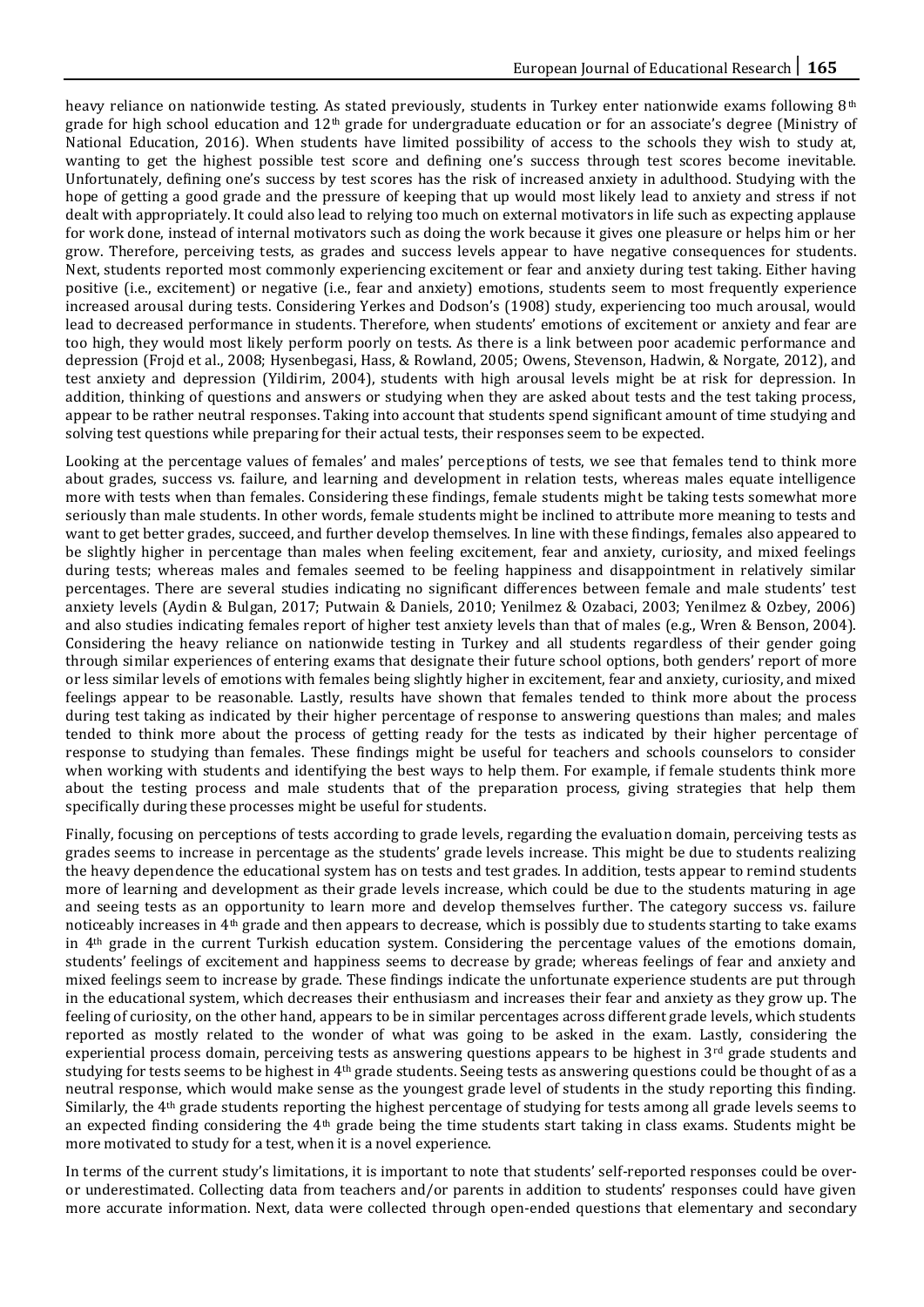heavy reliance on nationwide testing. As stated previously, students in Turkey enter nationwide exams following 8<sup>th</sup> grade for high school education and 12th grade for undergraduate education or for an associate's degree (Ministry of National Education, 2016). When students have limited possibility of access to the schools they wish to study at, wanting to get the highest possible test score and defining one's success through test scores become inevitable. Unfortunately, defining one's success by test scores has the risk of increased anxiety in adulthood. Studying with the hope of getting a good grade and the pressure of keeping that up would most likely lead to anxiety and stress if not dealt with appropriately. It could also lead to relying too much on external motivators in life such as expecting applause for work done, instead of internal motivators such as doing the work because it gives one pleasure or helps him or her grow. Therefore, perceiving tests, as grades and success levels appear to have negative consequences for students. Next, students reported most commonly experiencing excitement or fear and anxiety during test taking. Either having positive (i.e., excitement) or negative (i.e., fear and anxiety) emotions, students seem to most frequently experience increased arousal during tests. Considering Yerkes and Dodson's (1908) study, experiencing too much arousal, would lead to decreased performance in students. Therefore, when students' emotions of excitement or anxiety and fear are too high, they would most likely perform poorly on tests. As there is a link between poor academic performance and depression (Frojd et al., 2008; Hysenbegasi, Hass, & Rowland, 2005; Owens, Stevenson, Hadwin, & Norgate, 2012), and test anxiety and depression (Yildirim, 2004), students with high arousal levels might be at risk for depression. In addition, thinking of questions and answers or studying when they are asked about tests and the test taking process, appear to be rather neutral responses. Taking into account that students spend significant amount of time studying and solving test questions while preparing for their actual tests, their responses seem to be expected.

Looking at the percentage values of females' and males' perceptions of tests, we see that females tend to think more about grades, success vs. failure, and learning and development in relation tests, whereas males equate intelligence more with tests when than females. Considering these findings, female students might be taking tests somewhat more seriously than male students. In other words, female students might be inclined to attribute more meaning to tests and want to get better grades, succeed, and further develop themselves. In line with these findings, females also appeared to be slightly higher in percentage than males when feeling excitement, fear and anxiety, curiosity, and mixed feelings during tests; whereas males and females seemed to be feeling happiness and disappointment in relatively similar percentages. There are several studies indicating no significant differences between female and male students' test anxiety levels (Aydin & Bulgan, 2017; Putwain & Daniels, 2010; Yenilmez & Ozabaci, 2003; Yenilmez & Ozbey, 2006) and also studies indicating females report of higher test anxiety levels than that of males (e.g., Wren & Benson, 2004). Considering the heavy reliance on nationwide testing in Turkey and all students regardless of their gender going through similar experiences of entering exams that designate their future school options, both genders' report of more or less similar levels of emotions with females being slightly higher in excitement, fear and anxiety, curiosity, and mixed feelings appear to be reasonable. Lastly, results have shown that females tended to think more about the process during test taking as indicated by their higher percentage of response to answering questions than males; and males tended to think more about the process of getting ready for the tests as indicated by their higher percentage of response to studying than females. These findings might be useful for teachers and schools counselors to consider when working with students and identifying the best ways to help them. For example, if female students think more about the testing process and male students that of the preparation process, giving strategies that help them specifically during these processes might be useful for students.

Finally, focusing on perceptions of tests according to grade levels, regarding the evaluation domain, perceiving tests as grades seems to increase in percentage as the students' grade levels increase. This might be due to students realizing the heavy dependence the educational system has on tests and test grades. In addition, tests appear to remind students more of learning and development as their grade levels increase, which could be due to the students maturing in age and seeing tests as an opportunity to learn more and develop themselves further. The category success vs. failure noticeably increases in 4th grade and then appears to decrease, which is possibly due to students starting to take exams in 4th grade in the current Turkish education system. Considering the percentage values of the emotions domain, students' feelings of excitement and happiness seems to decrease by grade; whereas feelings of fear and anxiety and mixed feelings seem to increase by grade. These findings indicate the unfortunate experience students are put through in the educational system, which decreases their enthusiasm and increases their fear and anxiety as they grow up. The feeling of curiosity, on the other hand, appears to be in similar percentages across different grade levels, which students reported as mostly related to the wonder of what was going to be asked in the exam. Lastly, considering the experiential process domain, perceiving tests as answering questions appears to be highest in  $3<sup>rd</sup>$  grade students and studying for tests seems to be highest in 4th grade students. Seeing tests as answering questions could be thought of as a neutral response, which would make sense as the youngest grade level of students in the study reporting this finding. Similarly, the 4th grade students reporting the highest percentage of studying for tests among all grade levels seems to an expected finding considering the 4th grade being the time students start taking in class exams. Students might be more motivated to study for a test, when it is a novel experience.

In terms of the current study's limitations, it is important to note that students' self-reported responses could be overor underestimated. Collecting data from teachers and/or parents in addition to students' responses could have given more accurate information. Next, data were collected through open-ended questions that elementary and secondary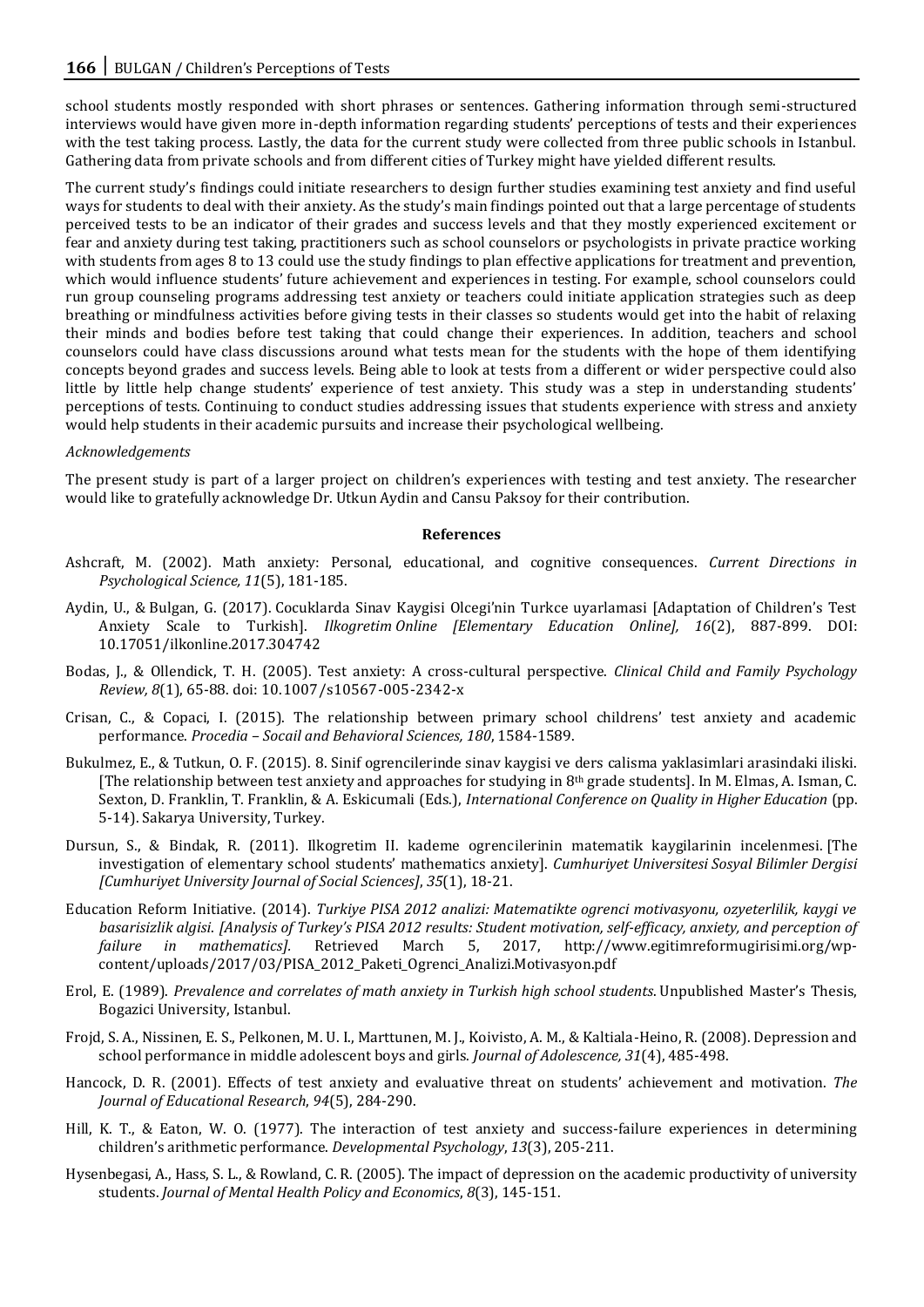school students mostly responded with short phrases or sentences. Gathering information through semi-structured interviews would have given more in-depth information regarding students' perceptions of tests and their experiences with the test taking process. Lastly, the data for the current study were collected from three public schools in Istanbul. Gathering data from private schools and from different cities of Turkey might have yielded different results.

The current study's findings could initiate researchers to design further studies examining test anxiety and find useful ways for students to deal with their anxiety. As the study's main findings pointed out that a large percentage of students perceived tests to be an indicator of their grades and success levels and that they mostly experienced excitement or fear and anxiety during test taking, practitioners such as school counselors or psychologists in private practice working with students from ages 8 to 13 could use the study findings to plan effective applications for treatment and prevention, which would influence students' future achievement and experiences in testing. For example, school counselors could run group counseling programs addressing test anxiety or teachers could initiate application strategies such as deep breathing or mindfulness activities before giving tests in their classes so students would get into the habit of relaxing their minds and bodies before test taking that could change their experiences. In addition, teachers and school counselors could have class discussions around what tests mean for the students with the hope of them identifying concepts beyond grades and success levels. Being able to look at tests from a different or wider perspective could also little by little help change students' experience of test anxiety. This study was a step in understanding students' perceptions of tests. Continuing to conduct studies addressing issues that students experience with stress and anxiety would help students in their academic pursuits and increase their psychological wellbeing.

## *Acknowledgements*

The present study is part of a larger project on children's experiences with testing and test anxiety. The researcher would like to gratefully acknowledge Dr. Utkun Aydin and Cansu Paksoy for their contribution.

#### **References**

- Ashcraft, M. (2002). Math anxiety: Personal, educational, and cognitive consequences. *Current Directions in Psychological Science, 11*(5), 181-185.
- Aydin, U., & Bulgan, G. (2017). Cocuklarda Sinav Kaygisi Olcegi'nin Turkce uyarlamasi [Adaptation of Children's Test Anxiety Scale to Turkish]. *Ilkogretim Online [Elementary Education Online], 16*(2), 887-899. DOI: 10.17051/ilkonline.2017.304742
- Bodas, J., & Ollendick, T. H. (2005). Test anxiety: A cross-cultural perspective. *Clinical Child and Family Psychology Review, 8*(1), 65-88. doi: 10.1007/s10567-005-2342-x
- Crisan, C., & Copaci, I. (2015). The relationship between primary school childrens' test anxiety and academic performance. *Procedia – Socail and Behavioral Sciences, 180*, 1584-1589.
- Bukulmez, E., & Tutkun, O. F. (2015). 8. Sinif ogrencilerinde sinav kaygisi ve ders calisma yaklasimlari arasindaki iliski. [The relationship between test anxiety and approaches for studying in 8th grade students]. In M. Elmas, A. Isman, C. Sexton, D. Franklin, T. Franklin, & A. Eskicumali (Eds.), *International Conference on Quality in Higher Education* (pp. 5-14). Sakarya University, Turkey.
- Dursun, S., & Bindak, R. (2011). Ilkogretim II. kademe ogrencilerinin matematik kaygilarinin incelenmesi. [The investigation of elementary school students' mathematics anxiety]. *Cumhuriyet Universitesi Sosyal Bilimler Dergisi [Cumhuriyet University Journal of Social Sciences]*, *35*(1), 18-21.
- Education Reform Initiative. (2014). *Turkiye PISA 2012 analizi: Matematikte ogrenci motivasyonu, ozyeterlilik, kaygi ve basarisizlik algisi*. *[Analysis of Turkey's PISA 2012 results: Student motivation, self-efficacy, anxiety, and perception of failure in mathematics].* Retrieved March 5, 2017, http://www.egitimreformugirisimi.org/wpcontent/uploads/2017/03/PISA\_2012\_Paketi\_Ogrenci\_Analizi.Motivasyon.pdf
- Erol, E. (1989). *Prevalence and correlates of math anxiety in Turkish high school students*. Unpublished Master's Thesis, Bogazici University, Istanbul.
- Frojd, S. A., Nissinen, E. S., Pelkonen, M. U. I., Marttunen, M. J., Koivisto, A. M., & Kaltiala-Heino, R. (2008). Depression and school performance in middle adolescent boys and girls. *Journal of Adolescence, 31*(4), 485-498.
- Hancock, D. R. (2001). Effects of test anxiety and evaluative threat on students' achievement and motivation. *The Journal of Educational Research*, *94*(5), 284-290.
- Hill, K. T., & Eaton, W. O. (1977). The interaction of test anxiety and success-failure experiences in determining children's arithmetic performance. *Developmental Psychology*, *13*(3), 205-211.
- Hysenbegasi, A., Hass, S. L., & Rowland, C. R. (2005). The impact of depression on the academic productivity of university students. *Journal of Mental Health Policy and Economics*, *8*(3), 145-151.